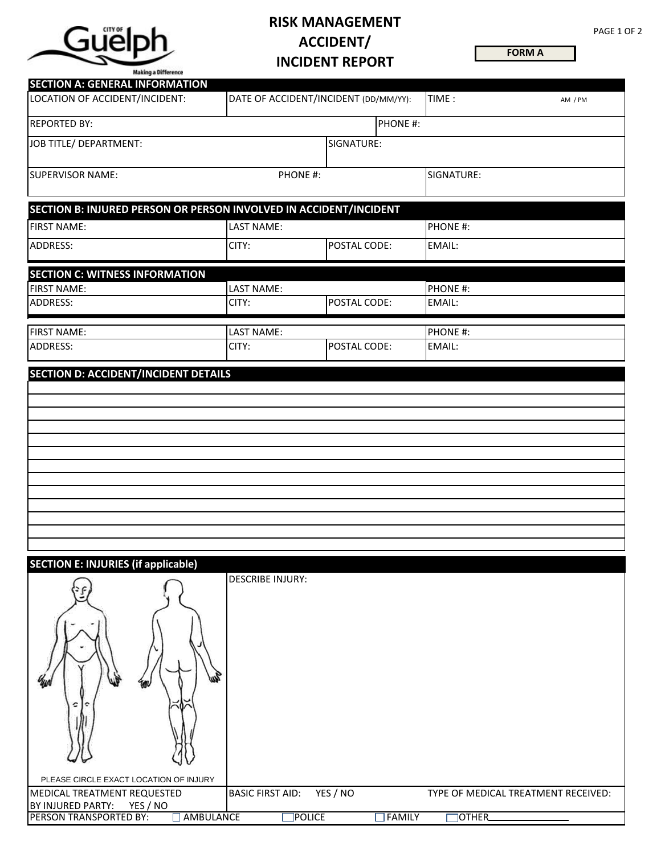

## **RISK MANAGEMENT ACCIDENT/ INCIDENT REPORT**

**FORM A**

| Making a Difference<br><b>SECTION A: GENERAL INFORMATION</b>      |                         |                                       |            |         |
|-------------------------------------------------------------------|-------------------------|---------------------------------------|------------|---------|
| LOCATION OF ACCIDENT/INCIDENT:                                    |                         | DATE OF ACCIDENT/INCIDENT (DD/MM/YY): | TIME:      | AM / PM |
| <b>REPORTED BY:</b>                                               |                         | PHONE #:                              |            |         |
| JOB TITLE/ DEPARTMENT:                                            |                         | SIGNATURE:                            |            |         |
| <b>SUPERVISOR NAME:</b>                                           | PHONE #:                |                                       | SIGNATURE: |         |
| SECTION B: INJURED PERSON OR PERSON INVOLVED IN ACCIDENT/INCIDENT |                         |                                       |            |         |
| <b>FIRST NAME:</b>                                                | <b>LAST NAME:</b>       |                                       | PHONE #:   |         |
| ADDRESS:                                                          | CITY:                   | POSTAL CODE:                          | EMAIL:     |         |
| <b>SECTION C: WITNESS INFORMATION</b>                             |                         |                                       |            |         |
| <b>FIRST NAME:</b>                                                | <b>LAST NAME:</b>       |                                       | PHONE #:   |         |
| ADDRESS:                                                          | CITY:                   | POSTAL CODE:                          | EMAIL:     |         |
| <b>FIRST NAME:</b>                                                | <b>LAST NAME:</b>       |                                       | PHONE #:   |         |
| ADDRESS:                                                          | CITY:                   | POSTAL CODE:                          | EMAIL:     |         |
|                                                                   |                         |                                       |            |         |
| <b>SECTION E: INJURIES (if applicable)</b>                        | <b>DESCRIBE INJURY:</b> |                                       |            |         |

| $-$<br>I۴<br>c<br>Ш                        |                         |               |                                     |
|--------------------------------------------|-------------------------|---------------|-------------------------------------|
| PLEASE CIRCLE EXACT LOCATION OF INJURY     |                         |               |                                     |
| MEDICAL TREATMENT REQUESTED                | <b>BASIC FIRST AID:</b> | YES / NO      | TYPE OF MEDICAL TREATMENT RECEIVED: |
| YES / NO<br>BY INJURED PARTY:              |                         |               |                                     |
| $\Box$ AMBULANCE<br>PERSON TRANSPORTED BY: | <b>POLICE</b>           | <b>FAMILY</b> | <b>OTHER</b>                        |